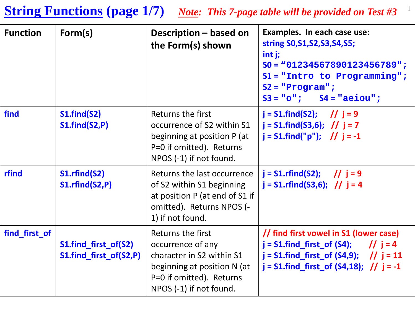#### **String Functions** (page 1/7) *Note: This 7-page table will be provided on Test #3*<sup>1</sup>

| <b>Function</b> | Form(s)                                        | Description - based on<br>the Form(s) shown                                                                                                               | Examples. In each case use:<br>string S0, S1, S2, S3, S4, S5;<br>$int j$ ;<br>$SO = 01234567890123456789$ ";<br>$S1 = "Intro to Programming";$<br>$S2 = "Program";$<br>$S3 = "o";$ $S4 = "aeiou";$ |
|-----------------|------------------------------------------------|-----------------------------------------------------------------------------------------------------------------------------------------------------------|----------------------------------------------------------------------------------------------------------------------------------------------------------------------------------------------------|
| find            | S1.find(S2)<br>S1.find(S2,P)                   | Returns the first<br>occurrence of S2 within S1<br>beginning at position P (at<br>P=0 if omitted). Returns<br>NPOS (-1) if not found.                     | $j = S1$ .find(S2); // $j = 9$<br>$j = S1$ .find(S3,6); // $j = 7$<br>$j = S1$ .find("p"); // $j = -1$                                                                                             |
| rfind           | S1.rfind(S2)<br>S1.rfind(S2,P)                 | Returns the last occurrence<br>of S2 within S1 beginning<br>at position P (at end of S1 if<br>omitted). Returns NPOS (-<br>1) if not found.               | $j = S1.$ rfind(S2); // $j = 9$<br>$j = S1.$ rfind(S3,6); // $j = 4$                                                                                                                               |
| find_first_of   | S1.find_first_of(S2)<br>S1.find_first_of(S2,P) | Returns the first<br>occurrence of any<br>character in S2 within S1<br>beginning at position N (at<br>P=0 if omitted). Returns<br>NPOS (-1) if not found. | // find first vowel in S1 (lower case)<br>$j = S1$ .find_first_of (S4); // $j = 4$<br>$j = S1$ .find_first_of (S4,9); // $j = 11$<br>$j = S1$ . find_first_of (S4,18); // $j = -1$                 |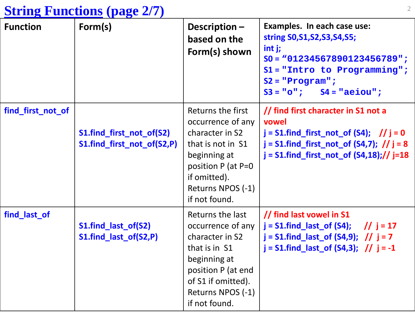#### <sup>2</sup> **String Functions (page 2/7)**

| <b>Function</b>   | Form(s)                                                | Description-<br>based on the<br>Form(s) shown                                                                                                                                 | Examples. In each case use:<br>string S0, S1, S2, S3, S4, S5;<br>$int j$ ;<br>$SO = "01234567890123456789"$ ;<br>$S1 = "Intro to Programming"$ ;<br>$S2 = "Program";$<br>$S3 = "o";$ $S4 = "aeiou";$ |
|-------------------|--------------------------------------------------------|-------------------------------------------------------------------------------------------------------------------------------------------------------------------------------|------------------------------------------------------------------------------------------------------------------------------------------------------------------------------------------------------|
| find_first_not_of | S1.find_first_not_of(S2)<br>S1.find_first_not_of(S2,P) | Returns the first<br>occurrence of any<br>character in S2<br>that is not in S1<br>beginning at<br>position P (at P=0<br>if omitted).<br>Returns NPOS (-1)<br>if not found.    | // find first character in S1 not a<br>vowel<br>$j = S1$ .find_first_not_of (S4); // $j = 0$<br>$j = S1$ .find_first_not_of (S4,7); // $j = 8$<br>$j = S1$ .find_first_not_of $(S4,18)//$ j=18       |
| find_last_of      | S1.find_last_of(S2)<br>S1.find_last_of(S2,P)           | Returns the last<br>occurrence of any  <br>character in S2<br>that is in S1<br>beginning at<br>position P (at end<br>of S1 if omitted).<br>Returns NPOS (-1)<br>if not found. | // find last vowel in S1<br>$j = S1$ .find_last_of (S4); // $j = 17$<br>$j = S1$ .find_last_of (S4,9); // $j = 7$<br>$j = S1$ .find_last_of (S4,3); // $j = -1$                                      |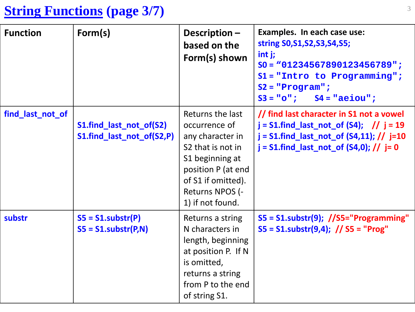# <sup>3</sup> **String Functions (page 3/7)**

| <b>Function</b>  | Form(s)                                              | Description-<br>based on the<br>Form(s) shown                                                                                                                                                | Examples. In each case use:<br>string S0, S1, S2, S3, S4, S5;<br>$int j$ ;<br>$SO = 01234567890123456789$ ";<br>$S1 = "Intro to Programming"$ ;<br>$S2 = "Program";$<br>$S3 = "o";$<br>$S4 = "aeiou";$ |
|------------------|------------------------------------------------------|----------------------------------------------------------------------------------------------------------------------------------------------------------------------------------------------|--------------------------------------------------------------------------------------------------------------------------------------------------------------------------------------------------------|
| find_last_not_of | S1.find_last_not_of(S2)<br>S1.find_last_not_of(S2,P) | Returns the last<br>occurrence of<br>any character in<br>S <sub>2</sub> that is not in<br>S1 beginning at<br>position P (at end<br>of S1 if omitted).<br>Returns NPOS (-<br>1) if not found. | // find last character in S1 not a vowel<br>$j = S1$ .find_last_not_of (S4); // $j = 19$<br>$j = S1$ .find_last_not_of $(S4, 11)$ ; // $j = 10$<br>$j = S1$ .find_last_not_of (S4,0); // $j = 0$       |
| substr           | $SS = S1.substr(P)$<br>$SS = S1.substr(P,N)$         | Returns a string<br>N characters in<br>length, beginning<br>at position P. If N<br>is omitted,<br>returns a string<br>from P to the end<br>of string S1.                                     | S5 = S1.substr(9); //S5="Programming"<br>$SS = S1$ .substr(9,4); // S5 = "Prog"                                                                                                                        |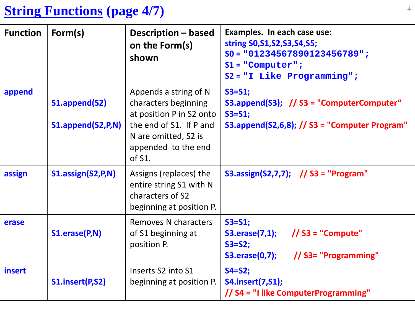# <sup>4</sup> **String Functions (page 4/7)**

| <b>Function</b> | Form(s)                            | Description – based<br>on the Form(s)<br>shown                                                                                                                   | Examples. In each case use:<br>string S0, S1, S2, S3, S4, S5;<br>$SO = 01234567890123456789$ ";<br>$S1 = "Computer";$<br>$S2 = "I Like Programming"$ |
|-----------------|------------------------------------|------------------------------------------------------------------------------------------------------------------------------------------------------------------|------------------------------------------------------------------------------------------------------------------------------------------------------|
| append          | S1.append(S2)<br>S1.append(S2,P,N) | Appends a string of N<br>characters beginning<br>at position P in S2 onto<br>the end of S1. If P and<br>N are omitted, S2 is<br>appended to the end<br>of $S1$ . | $S3 = S1$ ;<br>S3.append(S3); // S3 = "ComputerComputer"<br>$S3 = S1;$<br>S3.append(S2,6,8); $//$ S3 = "Computer Program"                            |
| assign          | S1.assign(S2,P,N)                  | Assigns (replaces) the<br>entire string S1 with N<br>characters of S2<br>beginning at position P.                                                                | S3.assign(S2,7,7); // S3 = "Program"                                                                                                                 |
| erase           | S1.erase(P,N)                      | Removes N characters<br>of S1 beginning at<br>position P.                                                                                                        | $S3 = S1$ ;<br>$\frac{1}{53}$ = "Compute"<br><b>S3.erase(7,1);</b><br>$S3 = S2$ ;<br>// S3= "Programming"<br><b>S3.erase(0,7);</b>                   |
| insert          | S1.insert(P,S2)                    | Inserts S2 into S1<br>beginning at position P.                                                                                                                   | $S4 = S2;$<br><b>S4.insert(7,S1);</b><br>// S4 = "I like ComputerProgramming"                                                                        |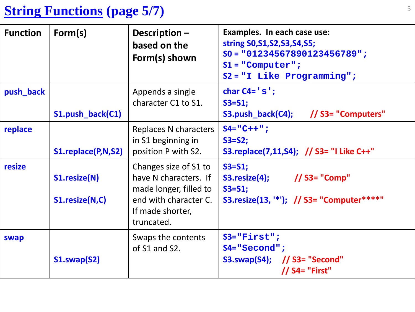# <sup>5</sup> **String Functions (page 5/7)**

| <b>Function</b> | Form(s)                        | Description $-$<br>based on the<br>Form(s) shown                                                                                    | Examples. In each case use:<br>string S0, S1, S2, S3, S4, S5;<br>$SO = 01234567890123456789$ ";<br>$S1 = "Computer";$<br>$S2 = "I Like Programming"$ |  |
|-----------------|--------------------------------|-------------------------------------------------------------------------------------------------------------------------------------|------------------------------------------------------------------------------------------------------------------------------------------------------|--|
| push_back       | S1.push_back(C1)               | Appends a single<br>character C1 to S1.                                                                                             | char $C4 = 's';$<br>$S3 = S1;$<br>S3.push_back(C4); // S3= "Computers"                                                                               |  |
| replace         | S1.replace(P,N,S2)             | Replaces N characters<br>in S1 beginning in<br>position P with S2.                                                                  | $S4 = "C++"$ ;<br>$S3 = S2;$<br>S3.replace(7,11,S4); // S3= "I Like C++"                                                                             |  |
| resize          | S1.resize(N)<br>S1.resize(N,C) | Changes size of S1 to<br>have N characters. If<br>made longer, filled to<br>end with character C.<br>If made shorter,<br>truncated. | $S3 = S1$ ;<br>$S3. \text{resize}(4);$ // S3= "Comp"<br>$S3 = S1;$<br>S3.resize(13, '*'); // S3= "Computer****"                                      |  |
| swap            | S1.swap(S2)                    | Swaps the contents<br>of S1 and S2.                                                                                                 | $S3 = "First";$<br>$S4 = "Second";$<br>S3.swap(S4); $//$ S3= "Second"<br>// S4= "First"                                                              |  |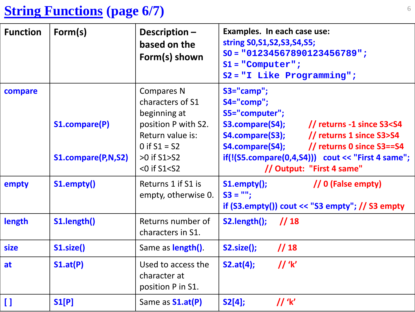### **String Functions (page 6/7)**

| <b>Function</b> | Form(s)                                    | Description-<br>based on the<br>Form(s) shown                                                                                                                 | Examples. In each case use:<br>string S0, S1, S2, S3, S4, S5;<br>$SO = "01234567890123456789"$ ;<br>$S1 = "Computer";$<br>$S2 = "I Like Programming"$                                                                                                                                                               |  |  |
|-----------------|--------------------------------------------|---------------------------------------------------------------------------------------------------------------------------------------------------------------|---------------------------------------------------------------------------------------------------------------------------------------------------------------------------------------------------------------------------------------------------------------------------------------------------------------------|--|--|
| compare         | <b>S1.compare(P)</b><br>S1.compare(P,N,S2) | <b>Compares N</b><br>characters of S1<br>beginning at<br>position P with S2.<br>Return value is:<br>0 if $S1 = S2$<br>$>0$ if S1 $>$ S2<br>$<$ 0 if S1 $<$ S2 | S3="camp";<br>S4="comp";<br>S5="computer";<br>S3.compare(S4);<br>$\frac{1}{2}$ returns -1 since S3 <s4<br>S4.compare(S3); // returns 1 since S3&gt;S4<br/>S4.compare(S4); // returns 0 since S3==S4<br/><math>if(!(S5.compile(0,4, S4)))</math> cout &lt;&lt; "First 4 same";<br/>// Output: "First 4 same"</s4<br> |  |  |
| empty           | S1.empty()                                 | Returns 1 if S1 is<br>empty, otherwise 0.                                                                                                                     | // 0 (False empty)<br>S1.empty();<br>$SS = "";$<br>if $(S3.empty()$ ) cout << "S3 empty"; // S3 empty                                                                                                                                                                                                               |  |  |
| length          | S1.length()                                | Returns number of<br>characters in S1.                                                                                                                        | S2.length();<br>1/18                                                                                                                                                                                                                                                                                                |  |  |
| <b>size</b>     | S1.size()                                  | Same as <b>length()</b> .                                                                                                                                     | 1/18<br><b>S2.size();</b>                                                                                                                                                                                                                                                                                           |  |  |
| at              | S1.at(P)                                   | Used to access the<br>character at<br>position P in S1.                                                                                                       | $\frac{1}{k}$<br>S2.at(4);                                                                                                                                                                                                                                                                                          |  |  |
| $\mathbf{I}$    | S1[P]                                      | Same as <b>S1.at(P)</b>                                                                                                                                       | $S2[4]$ ;<br>$\prime\prime$ 'k'                                                                                                                                                                                                                                                                                     |  |  |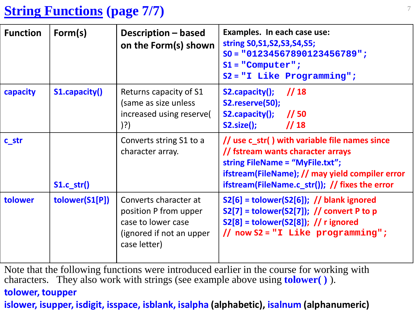# <sup>7</sup> **String Functions (page 7/7)**

| <b>Function</b>  | Form(s)              | Description – based<br>on the Form(s) shown                                                                      | Examples. In each case use:<br>string S0, S1, S2, S3, S4, S5;<br>$SO = 01234567890123456789$ ";<br>$S1 = "Computer";$<br>$S2 = "I Like Programming"$                                                                       |
|------------------|----------------------|------------------------------------------------------------------------------------------------------------------|----------------------------------------------------------------------------------------------------------------------------------------------------------------------------------------------------------------------------|
| capacity         | <b>S1.capacity()</b> | Returns capacity of S1<br>(same as size unless<br>increased using reserve(<br>$)$ ?)                             | S2.capacity();<br>1/18<br>S2.reserve(50);<br>S2.capacity();<br>$\frac{1}{50}$<br>$\frac{1}{18}$<br>$S2.size()$ ;                                                                                                           |
| c <sub>str</sub> | $S1.c$ str()         | Converts string S1 to a<br>character array.                                                                      | // use c_str() with variable file names since<br>// fstream wants character arrays<br>string FileName = "MyFile.txt";<br>ifstream(FileName); // may yield compiler error<br>ifstream(FileName.c_str()); // fixes the error |
| tolower          | tolower(S1[P])       | Converts character at<br>position P from upper<br>case to lower case<br>(ignored if not an upper<br>case letter) | $S2[6]$ = tolower(S2[6]); // blank ignored<br>$S2[7]$ = tolower(S2[7]); // convert P to p<br>$S2[8]$ = tolower(S2[8]); // r ignored<br>// now $S2 = "I$ Like programming";                                                 |

Note that the following functions were introduced earlier in the course for working with characters. They also work with strings (see example above using **tolower( )** ).

#### **tolower, toupper**

**islower, isupper, isdigit, isspace, isblank, isalpha (alphabetic), isalnum (alphanumeric)**